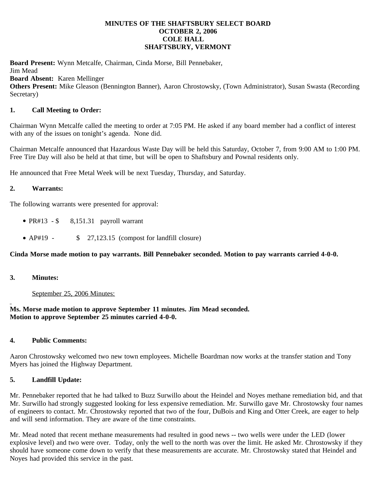### **MINUTES OF THE SHAFTSBURY SELECT BOARD OCTOBER 2, 2006 COLE HALL SHAFTSBURY, VERMONT**

**Board Present:** Wynn Metcalfe, Chairman, Cinda Morse, Bill Pennebaker, Jim Mead **Board Absent:** Karen Mellinger **Others Present:** Mike Gleason (Bennington Banner), Aaron Chrostowsky, (Town Administrator), Susan Swasta (Recording Secretary)

### **1. Call Meeting to Order:**

Chairman Wynn Metcalfe called the meeting to order at 7:05 PM. He asked if any board member had a conflict of interest with any of the issues on tonight's agenda. None did.

Chairman Metcalfe announced that Hazardous Waste Day will be held this Saturday, October 7, from 9:00 AM to 1:00 PM. Free Tire Day will also be held at that time, but will be open to Shaftsbury and Pownal residents only.

He announced that Free Metal Week will be next Tuesday, Thursday, and Saturday.

#### **2. Warrants:**

The following warrants were presented for approval:

- PR#13  $\$$  8,151.31 payroll warrant
- AP#19 \$ 27,123.15 (compost for landfill closure)

# **Cinda Morse made motion to pay warrants. Bill Pennebaker seconded. Motion to pay warrants carried 4-0-0.**

**3. Minutes:**

September 25, 2006 Minutes:

# **Ms. Morse made motion to approve September 11 minutes. Jim Mead seconded. Motion to approve September 25 minutes carried 4-0-0.**

# **4. Public Comments:**

Aaron Chrostowsky welcomed two new town employees. Michelle Boardman now works at the transfer station and Tony Myers has joined the Highway Department.

# **5. Landfill Update:**

Mr. Pennebaker reported that he had talked to Buzz Surwillo about the Heindel and Noyes methane remediation bid, and that Mr. Surwillo had strongly suggested looking for less expensive remediation. Mr. Surwillo gave Mr. Chrostowsky four names of engineers to contact. Mr. Chrostowsky reported that two of the four, DuBois and King and Otter Creek, are eager to help and will send information. They are aware of the time constraints.

Mr. Mead noted that recent methane measurements had resulted in good news -- two wells were under the LED (lower explosive level) and two were over. Today, only the well to the north was over the limit. He asked Mr. Chrostowsky if they should have someone come down to verify that these measurements are accurate. Mr. Chrostowsky stated that Heindel and Noyes had provided this service in the past.